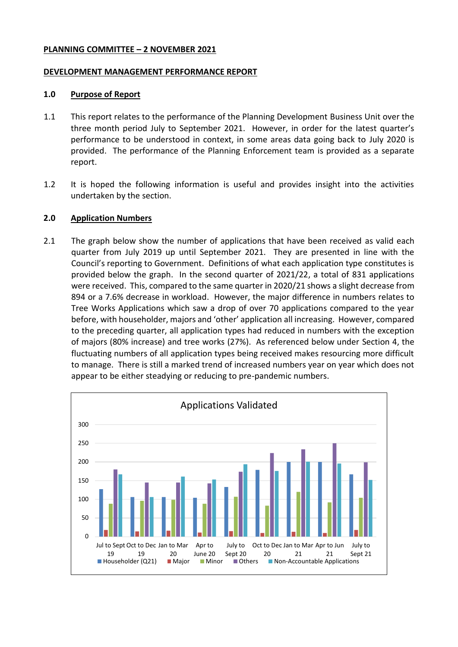#### **PLANNING COMMITTEE – 2 NOVEMBER 2021**

#### **DEVELOPMENT MANAGEMENT PERFORMANCE REPORT**

#### **1.0 Purpose of Report**

- 1.1 This report relates to the performance of the Planning Development Business Unit over the three month period July to September 2021. However, in order for the latest quarter's performance to be understood in context, in some areas data going back to July 2020 is provided. The performance of the Planning Enforcement team is provided as a separate report.
- 1.2 It is hoped the following information is useful and provides insight into the activities undertaken by the section.

### **2.0 Application Numbers**

2.1 The graph below show the number of applications that have been received as valid each quarter from July 2019 up until September 2021. They are presented in line with the Council's reporting to Government. Definitions of what each application type constitutes is provided below the graph. In the second quarter of 2021/22, a total of 831 applications were received. This, compared to the same quarter in 2020/21 shows a slight decrease from 894 or a 7.6% decrease in workload. However, the major difference in numbers relates to Tree Works Applications which saw a drop of over 70 applications compared to the year before, with householder, majors and 'other' application all increasing. However, compared to the preceding quarter, all application types had reduced in numbers with the exception of majors (80% increase) and tree works (27%). As referenced below under Section 4, the fluctuating numbers of all application types being received makes resourcing more difficult to manage. There is still a marked trend of increased numbers year on year which does not appear to be either steadying or reducing to pre-pandemic numbers.

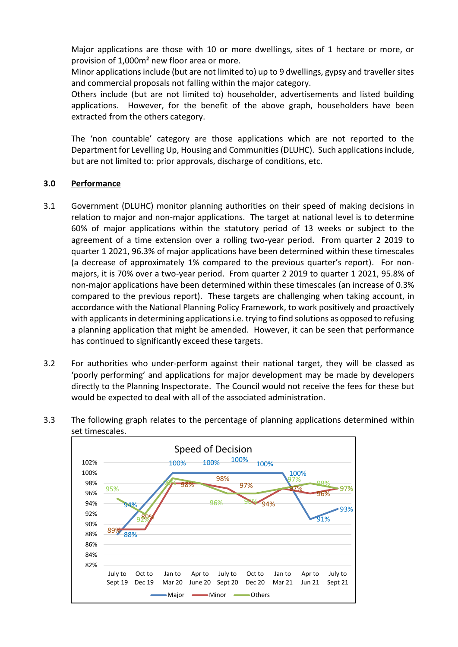Major applications are those with 10 or more dwellings, sites of 1 hectare or more, or provision of 1,000m² new floor area or more.

Minor applications include (but are not limited to) up to 9 dwellings, gypsy and traveller sites and commercial proposals not falling within the major category.

Others include (but are not limited to) householder, advertisements and listed building applications. However, for the benefit of the above graph, householders have been extracted from the others category.

The 'non countable' category are those applications which are not reported to the Department for Levelling Up, Housing and Communities (DLUHC). Such applications include, but are not limited to: prior approvals, discharge of conditions, etc.

# **3.0 Performance**

- 3.1 Government (DLUHC) monitor planning authorities on their speed of making decisions in relation to major and non-major applications. The target at national level is to determine 60% of major applications within the statutory period of 13 weeks or subject to the agreement of a time extension over a rolling two-year period. From quarter 2 2019 to quarter 1 2021, 96.3% of major applications have been determined within these timescales (a decrease of approximately 1% compared to the previous quarter's report). For nonmajors, it is 70% over a two-year period. From quarter 2 2019 to quarter 1 2021, 95.8% of non-major applications have been determined within these timescales (an increase of 0.3% compared to the previous report). These targets are challenging when taking account, in accordance with the National Planning Policy Framework, to work positively and proactively with applicants in determining applications i.e. trying to find solutions as opposed to refusing a planning application that might be amended. However, it can be seen that performance has continued to significantly exceed these targets.
- 3.2 For authorities who under-perform against their national target, they will be classed as 'poorly performing' and applications for major development may be made by developers directly to the Planning Inspectorate. The Council would not receive the fees for these but would be expected to deal with all of the associated administration.



3.3 The following graph relates to the percentage of planning applications determined within set timescales.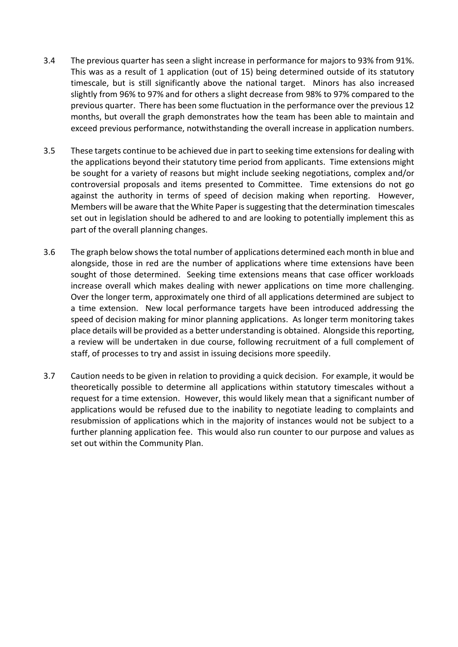- 3.4 The previous quarter has seen a slight increase in performance for majors to 93% from 91%. This was as a result of 1 application (out of 15) being determined outside of its statutory timescale, but is still significantly above the national target. Minors has also increased slightly from 96% to 97% and for others a slight decrease from 98% to 97% compared to the previous quarter. There has been some fluctuation in the performance over the previous 12 months, but overall the graph demonstrates how the team has been able to maintain and exceed previous performance, notwithstanding the overall increase in application numbers.
- 3.5 These targets continue to be achieved due in part to seeking time extensions for dealing with the applications beyond their statutory time period from applicants. Time extensions might be sought for a variety of reasons but might include seeking negotiations, complex and/or controversial proposals and items presented to Committee. Time extensions do not go against the authority in terms of speed of decision making when reporting. However, Members will be aware that the White Paper is suggesting that the determination timescales set out in legislation should be adhered to and are looking to potentially implement this as part of the overall planning changes.
- 3.6 The graph below shows the total number of applications determined each month in blue and alongside, those in red are the number of applications where time extensions have been sought of those determined. Seeking time extensions means that case officer workloads increase overall which makes dealing with newer applications on time more challenging. Over the longer term, approximately one third of all applications determined are subject to a time extension. New local performance targets have been introduced addressing the speed of decision making for minor planning applications. As longer term monitoring takes place details will be provided as a better understanding is obtained. Alongside this reporting, a review will be undertaken in due course, following recruitment of a full complement of staff, of processes to try and assist in issuing decisions more speedily.
- 3.7 Caution needs to be given in relation to providing a quick decision. For example, it would be theoretically possible to determine all applications within statutory timescales without a request for a time extension. However, this would likely mean that a significant number of applications would be refused due to the inability to negotiate leading to complaints and resubmission of applications which in the majority of instances would not be subject to a further planning application fee. This would also run counter to our purpose and values as set out within the Community Plan.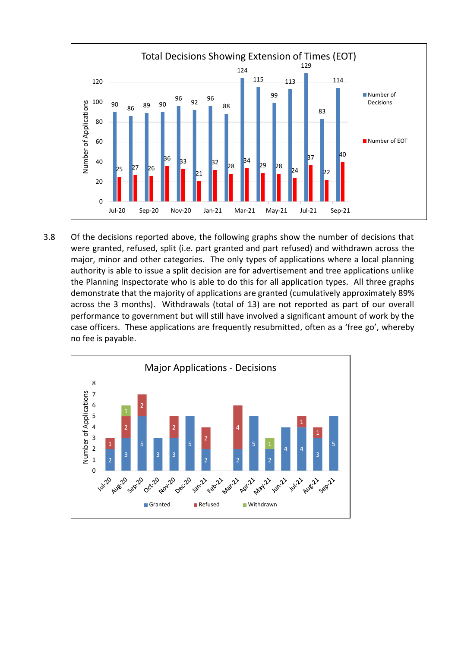

3.8 Of the decisions reported above, the following graphs show the number of decisions that were granted, refused, split (i.e. part granted and part refused) and withdrawn across the major, minor and other categories. The only types of applications where a local planning authority is able to issue a split decision are for advertisement and tree applications unlike the Planning Inspectorate who is able to do this for all application types. All three graphs demonstrate that the majority of applications are granted (cumulatively approximately 89% across the 3 months). Withdrawals (total of 13) are not reported as part of our overall performance to government but will still have involved a significant amount of work by the case officers. These applications are frequently resubmitted, often as a 'free go', whereby no fee is payable.

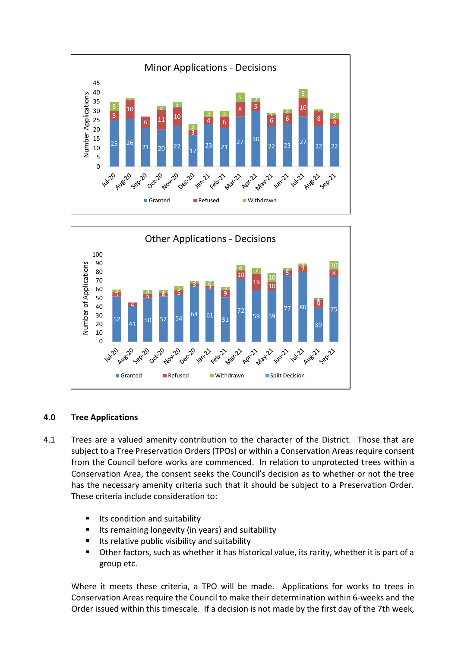



# **4.0 Tree Applications**

- 4.1 Trees are a valued amenity contribution to the character of the District. Those that are subject to a Tree Preservation Orders (TPOs) or within a Conservation Areas require consent from the Council before works are commenced. In relation to unprotected trees within a Conservation Area, the consent seeks the Council's decision as to whether or not the tree has the necessary amenity criteria such that it should be subject to a Preservation Order. These criteria include consideration to:
	- $\blacksquare$  Its condition and suitability
	- Its remaining longevity (in years) and suitability
	- **If the Its relative public visibility and suitability**
	- Other factors, such as whether it has historical value, its rarity, whether it is part of a group etc.

Where it meets these criteria, a TPO will be made. Applications for works to trees in Conservation Areas require the Council to make their determination within 6-weeks and the Order issued within this timescale. If a decision is not made by the first day of the 7th week,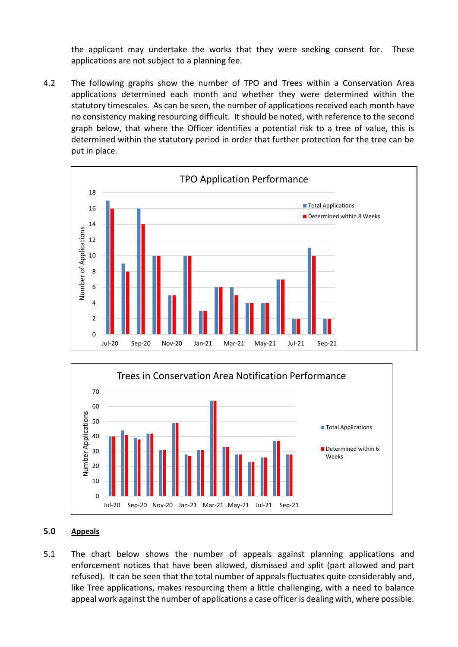the applicant may undertake the works that they were seeking consent for. These applications are not subject to a planning fee.

4.2 The following graphs show the number of TPO and Trees within a Conservation Area applications determined each month and whether they were determined within the statutory timescales. As can be seen, the number of applications received each month have no consistency making resourcing difficult. It should be noted, with reference to the second graph below, that where the Officer identifies a potential risk to a tree of value, this is determined within the statutory period in order that further protection for the tree can be put in place.





### **5.0 Appeals**

5.1 The chart below shows the number of appeals against planning applications and enforcement notices that have been allowed, dismissed and split (part allowed and part refused). It can be seen that the total number of appeals fluctuates quite considerably and, like Tree applications, makes resourcing them a little challenging, with a need to balance appeal work against the number of applications a case officer is dealing with, where possible.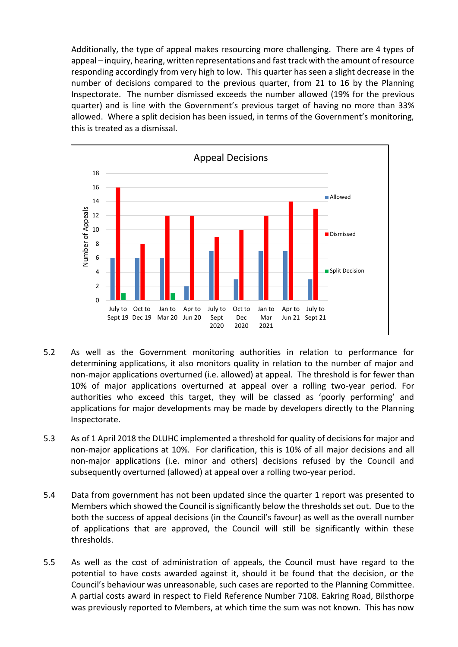Additionally, the type of appeal makes resourcing more challenging. There are 4 types of appeal – inquiry, hearing, written representations and fast track with the amount of resource responding accordingly from very high to low. This quarter has seen a slight decrease in the number of decisions compared to the previous quarter, from 21 to 16 by the Planning Inspectorate. The number dismissed exceeds the number allowed (19% for the previous quarter) and is line with the Government's previous target of having no more than 33% allowed. Where a split decision has been issued, in terms of the Government's monitoring, this is treated as a dismissal.



- 5.2 As well as the Government monitoring authorities in relation to performance for determining applications, it also monitors quality in relation to the number of major and non-major applications overturned (i.e. allowed) at appeal. The threshold is for fewer than 10% of major applications overturned at appeal over a rolling two-year period. For authorities who exceed this target, they will be classed as 'poorly performing' and applications for major developments may be made by developers directly to the Planning Inspectorate.
- 5.3 As of 1 April 2018 the DLUHC implemented a threshold for quality of decisions for major and non-major applications at 10%. For clarification, this is 10% of all major decisions and all non-major applications (i.e. minor and others) decisions refused by the Council and subsequently overturned (allowed) at appeal over a rolling two-year period.
- 5.4 Data from government has not been updated since the quarter 1 report was presented to Members which showed the Council is significantly below the thresholds set out. Due to the both the success of appeal decisions (in the Council's favour) as well as the overall number of applications that are approved, the Council will still be significantly within these thresholds.
- 5.5 As well as the cost of administration of appeals, the Council must have regard to the potential to have costs awarded against it, should it be found that the decision, or the Council's behaviour was unreasonable, such cases are reported to the Planning Committee. A partial costs award in respect to Field Reference Number 7108. Eakring Road, Bilsthorpe was previously reported to Members, at which time the sum was not known. This has now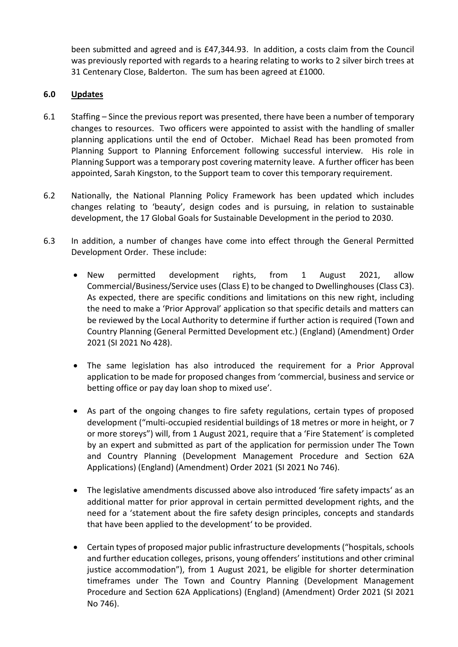been submitted and agreed and is £47,344.93. In addition, a costs claim from the Council was previously reported with regards to a hearing relating to works to 2 silver birch trees at 31 Centenary Close, Balderton. The sum has been agreed at £1000.

# **6.0 Updates**

- 6.1 Staffing Since the previous report was presented, there have been a number of temporary changes to resources. Two officers were appointed to assist with the handling of smaller planning applications until the end of October. Michael Read has been promoted from Planning Support to Planning Enforcement following successful interview. His role in Planning Support was a temporary post covering maternity leave. A further officer has been appointed, Sarah Kingston, to the Support team to cover this temporary requirement.
- 6.2 Nationally, the National Planning Policy Framework has been updated which includes changes relating to 'beauty', design codes and is pursuing, in relation to sustainable development, the 17 Global Goals for Sustainable Development in the period to 2030.
- 6.3 In addition, a number of changes have come into effect through the General Permitted Development Order. These include:
	- New permitted development rights, from 1 August 2021, allow Commercial/Business/Service uses (Class E) to be changed to Dwellinghouses (Class C3). As expected, there are specific conditions and limitations on this new right, including the need to make a 'Prior Approval' application so that specific details and matters can be reviewed by the Local Authority to determine if further action is required (Town and Country Planning (General Permitted Development etc.) (England) (Amendment) Order 2021 (SI 2021 No 428).
	- The same legislation has also introduced the requirement for a Prior Approval application to be made for proposed changes from 'commercial, business and service or betting office or pay day loan shop to mixed use'.
	- As part of the ongoing changes to fire safety regulations, certain types of proposed development ("multi-occupied residential buildings of 18 metres or more in height, or 7 or more storeys") will, from 1 August 2021, require that a 'Fire Statement' is completed by an expert and submitted as part of the application for permission under The Town and Country Planning (Development Management Procedure and Section 62A Applications) (England) (Amendment) Order 2021 (SI 2021 No 746).
	- The legislative amendments discussed above also introduced 'fire safety impacts' as an additional matter for prior approval in certain permitted development rights, and the need for a 'statement about the fire safety design principles, concepts and standards that have been applied to the development' to be provided.
	- Certain types of proposed major public infrastructure developments ("hospitals, schools and further education colleges, prisons, young offenders' institutions and other criminal justice accommodation"), from 1 August 2021, be eligible for shorter determination timeframes under The Town and Country Planning (Development Management Procedure and Section 62A Applications) (England) (Amendment) Order 2021 (SI 2021 No 746).